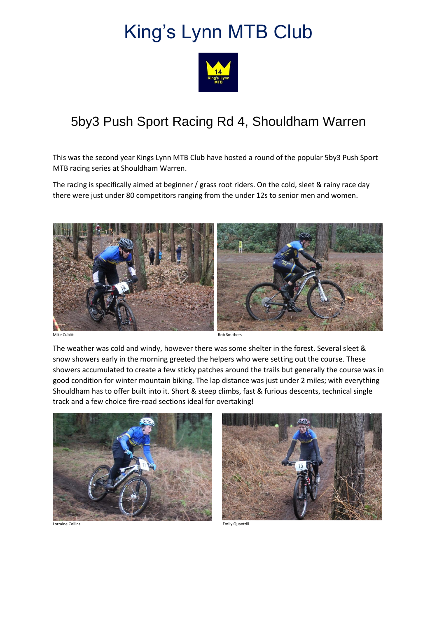## King's Lynn MTB Club



## 5by3 Push Sport Racing Rd 4, Shouldham Warren

This was the second year Kings Lynn MTB Club have hosted a round of the popular 5by3 Push Sport MTB racing series at Shouldham Warren.

The racing is specifically aimed at beginner / grass root riders. On the cold, sleet & rainy race day there were just under 80 competitors ranging from the under 12s to senior men and women.



Mike Cubitt Rob Smithers and Rob Smithers and Rob Smithers and Rob Smithers and Rob Smithers and Rob Smithers

The weather was cold and windy, however there was some shelter in the forest. Several sleet & snow showers early in the morning greeted the helpers who were setting out the course. These showers accumulated to create a few sticky patches around the trails but generally the course was in good condition for winter mountain biking. The lap distance was just under 2 miles; with everything Shouldham has to offer built into it. Short & steep climbs, fast & furious descents, technical single track and a few choice fire-road sections ideal for overtaking!